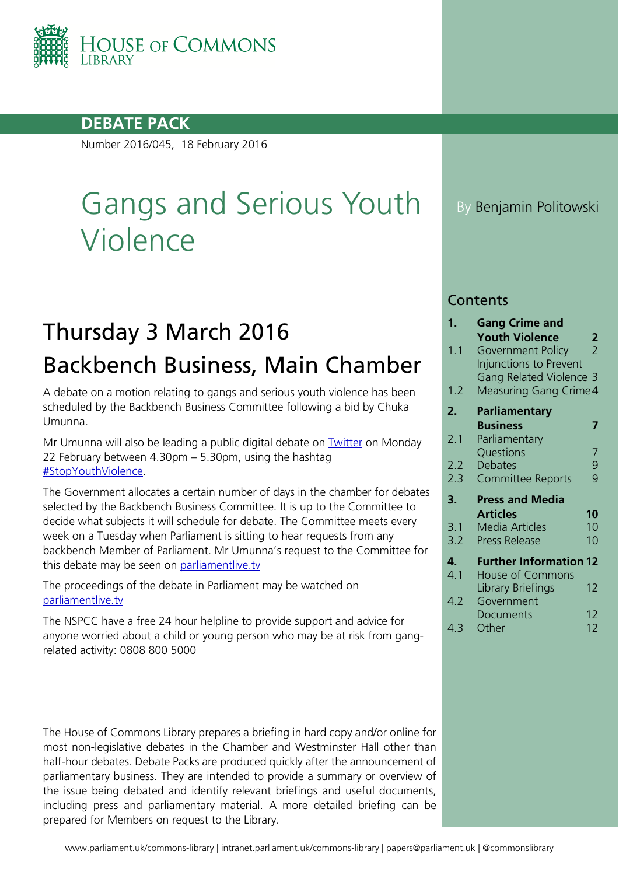

## **DEBATE PACK**

Number 2016/045, 18 February 2016

# Gangs and Serious Youth Violence

## Thursday 3 March 2016 Backbench Business, Main Chamber

A debate on a motion relating to gangs and serious youth violence has been scheduled by the Backbench Business Committee following a bid by Chuka Umunna.

Mr Umunna will also be leading a public digital debate on [Twitter](https://twitter.com/HouseofCommons/status/699958059175698432) on Monday 22 February between 4.30pm – 5.30pm, using the hashtag [#StopYouthViolence.](https://twitter.com/hashtag/StopYouthViolence?src=hash)

The Government allocates a certain number of days in the chamber for debates selected by the Backbench Business Committee. It is up to the Committee to decide what subjects it will schedule for debate. The Committee meets every week on a Tuesday when Parliament is sitting to hear requests from any backbench Member of Parliament. Mr Umunna's request to the Committee for this debate may be seen on [parliamentlive.tv](http://parliamentlive.tv/event/index/63a27fe7-63e2-40d2-8207-d1f1e9ddff6b?in=14:37:53)

The proceedings of the debate in Parliament may be watched on [parliamentlive.tv](http://www.parliamentlive.tv/)

The NSPCC have a free 24 hour helpline to provide support and advice for anyone worried about a child or young person who may be at risk from gangrelated activity: 0808 800 5000

The House of Commons Library prepares a briefing in hard copy and/or online for most non-legislative debates in the Chamber and Westminster Hall other than half-hour debates. Debate Packs are produced quickly after the announcement of parliamentary business. They are intended to provide a summary or overview of the issue being debated and identify relevant briefings and useful documents, including press and parliamentary material. A more detailed briefing can be prepared for Members on request to the Library.

By Benjamin Politowski

### **Contents**

| 1.  | <b>Gang Crime and</b>         |                |
|-----|-------------------------------|----------------|
|     | <b>Youth Violence</b>         | 2              |
| 1.1 | Government Policy             | $\overline{2}$ |
|     | Injunctions to Prevent        |                |
|     | Gang Related Violence 3       |                |
| 1.2 | Measuring Gang Crime 4        |                |
| 2.  | <b>Parliamentary</b>          |                |
|     | <b>Business</b>               | 7              |
| 2.1 | Parliamentary                 |                |
|     | Questions                     | 7              |
| 2.2 | Debates                       | $\frac{9}{9}$  |
| 2.3 | <b>Committee Reports</b>      |                |
|     |                               |                |
| 3.  | <b>Press and Media</b>        |                |
|     | <b>Articles</b>               | 10             |
| 3.1 | <b>Media Articles</b>         | 10             |
| 3.2 | <b>Press Release</b>          | 10             |
| 4.  | <b>Further Information 12</b> |                |
| 4.1 | House of Commons              |                |
|     | Library Briefings             | 12             |
| 4.2 | Government                    |                |
|     | <b>Documents</b>              | 12             |
| 4.3 | Other                         | 12             |
|     |                               |                |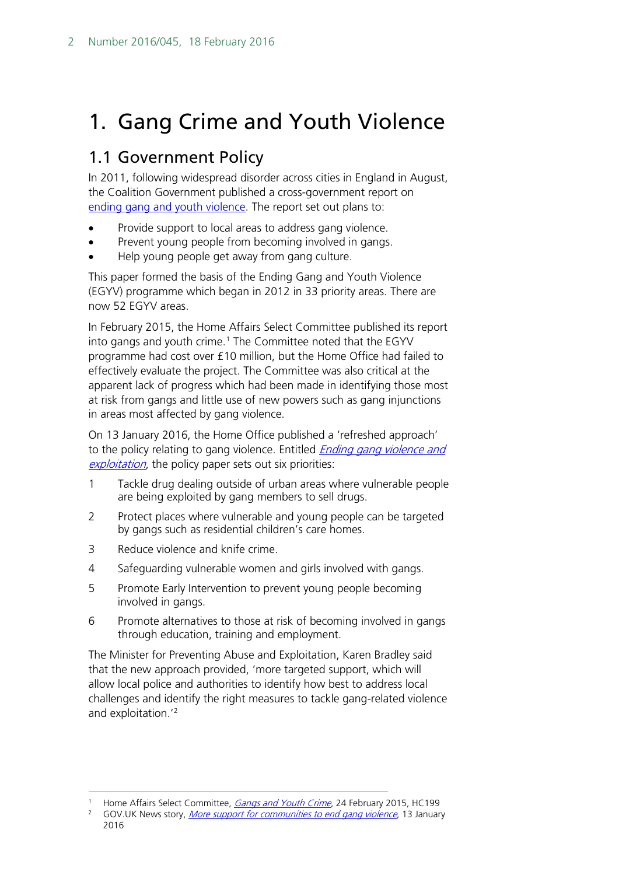## <span id="page-1-0"></span>1. Gang Crime and Youth Violence

## <span id="page-1-1"></span>1.1 Government Policy

In 2011, following widespread disorder across cities in England in August, the Coalition Government published a cross-government report on [ending gang and youth violence.](https://www.gov.uk/government/publications/ending-gang-and-youth-violence-cross-government-report) The report set out plans to:

- Provide support to local areas to address gang violence.
- Prevent young people from becoming involved in gangs.
- Help young people get away from gang culture.

This paper formed the basis of the Ending Gang and Youth Violence (EGYV) programme which began in 2012 in 33 priority areas. There are now 52 EGYV areas.

In February 2015, the Home Affairs Select Committee published its report into gangs and youth crime.<sup>[1](#page-1-2)</sup> The Committee noted that the EGYV programme had cost over £10 million, but the Home Office had failed to effectively evaluate the project. The Committee was also critical at the apparent lack of progress which had been made in identifying those most at risk from gangs and little use of new powers such as gang injunctions in areas most affected by gang violence.

On 13 January 2016, the Home Office published a 'refreshed approach' to the policy relating to gang violence. Entitled *Ending gang violence and* [exploitation](https://www.gov.uk/government/publications/ending-gang-violence-and-exploitation), the policy paper sets out six priorities:

- 1 Tackle drug dealing outside of urban areas where vulnerable people are being exploited by gang members to sell drugs.
- 2 Protect places where vulnerable and young people can be targeted by gangs such as residential children's care homes.
- 3 Reduce violence and knife crime.
- 4 Safeguarding vulnerable women and girls involved with gangs.
- 5 Promote Early Intervention to prevent young people becoming involved in gangs.
- 6 Promote alternatives to those at risk of becoming involved in gangs through education, training and employment.

The Minister for Preventing Abuse and Exploitation, Karen Bradley said that the new approach provided, 'more targeted support, which will allow local police and authorities to identify how best to address local challenges and identify the right measures to tackle gang-related violence and exploitation.'[2](#page-1-3)

<span id="page-1-2"></span><sup>1</sup> Home Affairs Select Committee, *[Gangs and Youth Crime](http://www.publications.parliament.uk/pa/cm201415/cmselect/cmhaff/199/19902.htm)*, 24 February 2015, HC199<br>2 GOV UK News story, *More support for communities to and gang violence*, 13 January

<span id="page-1-3"></span>GOV.UK News story, *[More support for communities to end gang violence](https://www.gov.uk/government/news/more-support-for-communities-to-end-gang-violence)*, 13 January 2016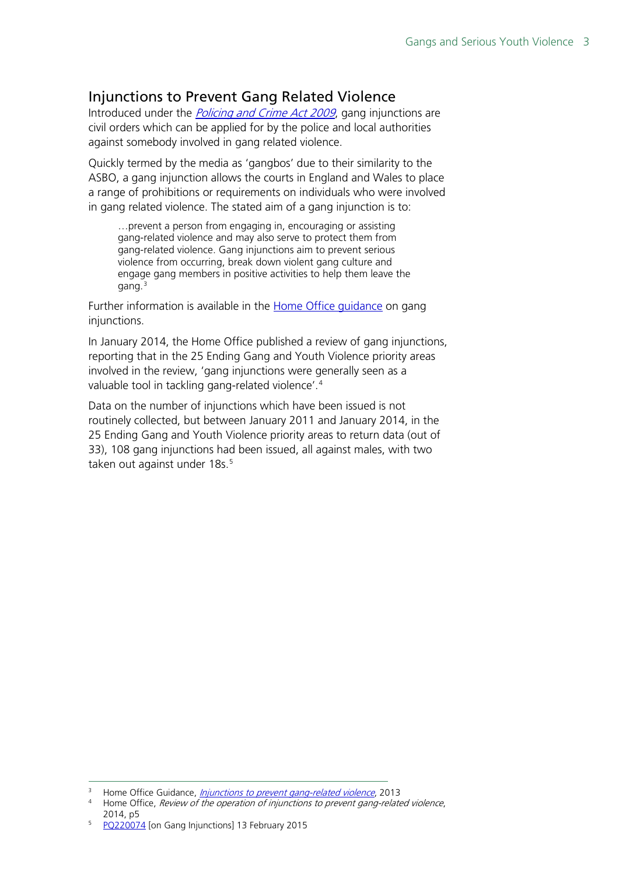## <span id="page-2-0"></span>Injunctions to Prevent Gang Related Violence

Introduced under the *[Policing and Crime Act 2009](http://www.legislation.gov.uk/ukpga/2009/26/contents)*, gang injunctions are civil orders which can be applied for by the police and local authorities against somebody involved in gang related violence.

Quickly termed by the media as 'gangbos' due to their similarity to the ASBO, a gang injunction allows the courts in England and Wales to place a range of prohibitions or requirements on individuals who were involved in gang related violence. The stated aim of a gang injunction is to:

…prevent a person from engaging in, encouraging or assisting gang-related violence and may also serve to protect them from gang-related violence. Gang injunctions aim to prevent serious violence from occurring, break down violent gang culture and engage gang members in positive activities to help them leave the gang.<sup>[3](#page-2-1)</sup>

Further information is available in the **Home Office quidance** on gang injunctions.

In January 2014, the Home Office published a review of gang injunctions, reporting that in the 25 Ending Gang and Youth Violence priority areas involved in the review, 'gang injunctions were generally seen as a valuable tool in tackling gang-related violence'.<sup>[4](#page-2-2)</sup>

Data on the number of injunctions which have been issued is not routinely collected, but between January 2011 and January 2014, in the 25 Ending Gang and Youth Violence priority areas to return data (out of 33), 108 gang injunctions had been issued, all against males, with two taken out against under 18s.<sup>[5](#page-2-3)</sup>

<span id="page-2-2"></span><span id="page-2-1"></span><sup>&</sup>lt;sup>3</sup> Home Office Guidance, *[Injunctions to prevent gang-related violence](https://www.gov.uk/guidance/injunctions-to-prevent-gang-related-violence)*, 2013<br><sup>4</sup> Home Office, *Povious of the operation of injunctions to prevent gang relate* 

Home Office, Review of the operation of injunctions to prevent gang-related violence, 2014, p5

<span id="page-2-3"></span><sup>5</sup> [PQ220074](http://www.parliament.uk/written-questions-answers-statements/written-question/commons/2015-01-07/220074) [on Gang Injunctions] 13 February 2015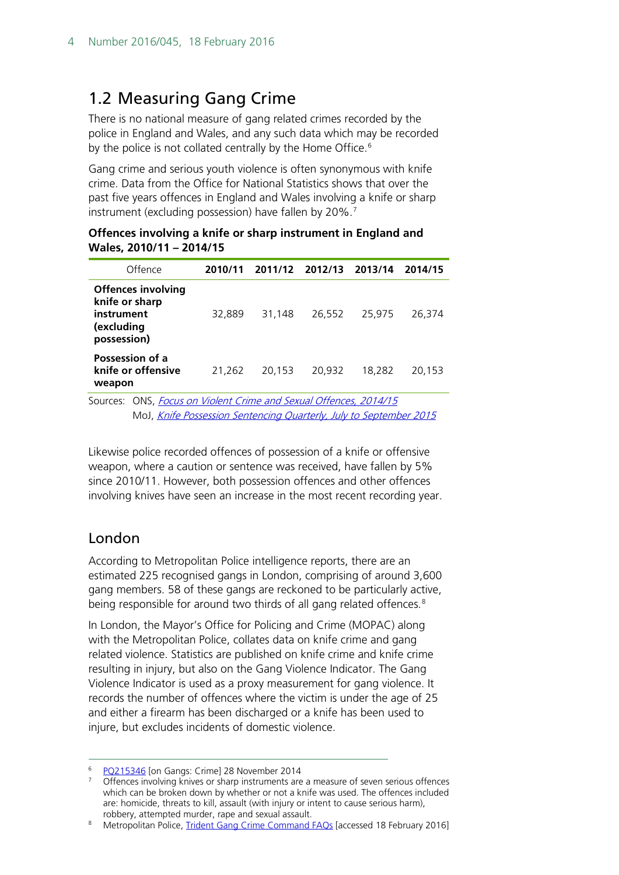## <span id="page-3-0"></span>1.2 Measuring Gang Crime

There is no national measure of gang related crimes recorded by the police in England and Wales, and any such data which may be recorded by the police is not collated centrally by the Home Office.<sup>[6](#page-3-1)</sup>

Gang crime and serious youth violence is often synonymous with knife crime. Data from the Office for National Statistics shows that over the past five years offences in England and Wales involving a knife or sharp instrument (excluding possession) have fallen by 20%.<sup>[7](#page-3-2)</sup>

#### **Offences involving a knife or sharp instrument in England and Wales, 2010/11 – 2014/15**

| Offence                                                                                | 2010/11 |        | 2011/12 2012/13 2013/14 |        | 2014/15 |
|----------------------------------------------------------------------------------------|---------|--------|-------------------------|--------|---------|
| <b>Offences involving</b><br>knife or sharp<br>instrument<br>(excluding<br>possession) | 32,889  | 31.148 | 26,552                  | 25,975 | 26,374  |
| Possession of a<br>knife or offensive<br>weapon                                        | 21.262  | 20.153 | 20,932                  | 18,282 | 20,153  |
| Sources: ONS, Focus on Violent Crime and Sexual Offences, 2014/15                      |         |        |                         |        |         |

MoJ, [Knife Possession Sentencing Quarterly, July to September 2015](https://www.gov.uk/government/statistics/knife-possession-sentencing-quarterly-brief-july-to-september-2015)

Likewise police recorded offences of possession of a knife or offensive weapon, where a caution or sentence was received, have fallen by 5% since 2010/11. However, both possession offences and other offences involving knives have seen an increase in the most recent recording year.

## London

According to Metropolitan Police intelligence reports, there are an estimated 225 recognised gangs in London, comprising of around 3,600 gang members. 58 of these gangs are reckoned to be particularly active, being responsible for around two thirds of all gang related offences.<sup>[8](#page-3-3)</sup>

In London, the Mayor's Office for Policing and Crime (MOPAC) along with the Metropolitan Police, collates data on knife crime and gang related violence. Statistics are published on knife crime and knife crime resulting in injury, but also on the Gang Violence Indicator. The Gang Violence Indicator is used as a proxy measurement for gang violence. It records the number of offences where the victim is under the age of 25 and either a firearm has been discharged or a knife has been used to injure, but excludes incidents of domestic violence.

<span id="page-3-1"></span><sup>&</sup>lt;sup>6</sup> [PQ215346](http://www.parliament.uk/written-questions-answers-statements/written-question/commons/2014-11-19/215346) [on Gangs: Crime] 28 November 2014

<span id="page-3-2"></span><sup>7</sup> Offences involving knives or sharp instruments are a measure of seven serious offences which can be broken down by whether or not a knife was used. The offences included are: homicide, threats to kill, assault (with injury or intent to cause serious harm), robbery, attempted murder, rape and sexual assault.

<span id="page-3-3"></span><sup>8</sup> Metropolitan Police, [Trident Gang Crime Command FAQs](http://content.met.police.uk/Article/FAQs/1400014987691/1400014987691) [accessed 18 February 2016]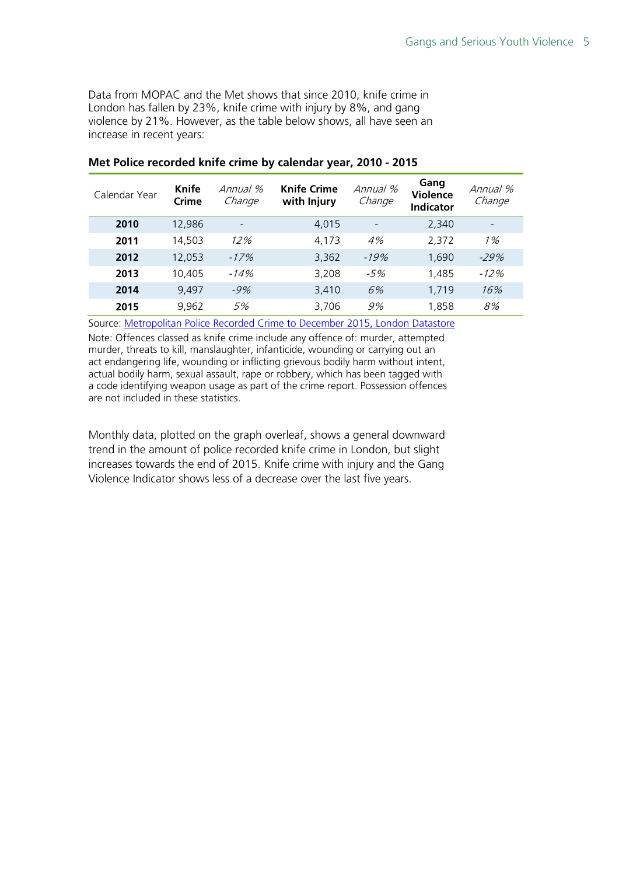Data from MOPAC and the Met shows that since 2010, knife crime in London has fallen by 23%, knife crime with injury by 8%, and gang violence by 21%. However, as the table below shows, all have seen an increase in recent years:

| Calendar Year | Knife<br>Crime | Annual %<br>Change       | <b>Knife Crime</b><br>with Injury | Annual %<br>Change | Gang<br><b>Violence</b><br><b>Indicator</b> | Annual %<br>Change |
|---------------|----------------|--------------------------|-----------------------------------|--------------------|---------------------------------------------|--------------------|
| 2010          | 12,986         | $\overline{\phantom{a}}$ | 4,015                             |                    | 2,340                                       |                    |
| 2011          | 14,503         | 12%                      | 4.173                             | 4%                 | 2,372                                       | 1%                 |
| 2012          | 12,053         | $-17%$                   | 3,362                             | $-19%$             | 1,690                                       | $-29%$             |
| 2013          | 10,405         | -14%                     | 3.208                             | $-5%$              | 1,485                                       | $-12\%$            |
| 2014          | 9.497          | $-9%$                    | 3,410                             | 6%                 | 1,719                                       | 16%                |
| 2015          | 9,962          | 5%                       | 3,706                             | 9%                 | 1,858                                       | 8%                 |

#### **Met Police recorded knife crime by calendar year, 2010 - 2015**

Source: [Metropolitan Police Recorded Crime to December 2015, London Datastore](http://data.london.gov.uk/dataset/metropolitan-police-service-recorded-crime-figures-and-associated-data)

Note: Offences classed as knife crime include any offence of: murder, attempted murder, threats to kill, manslaughter, infanticide, wounding or carrying out an act endangering life, wounding or inflicting grievous bodily harm without intent, actual bodily harm, sexual assault, rape or robbery, which has been tagged with a code identifying weapon usage as part of the crime report. Possession offences are not included in these statistics.

Monthly data, plotted on the graph overleaf, shows a general downward trend in the amount of police recorded knife crime in London, but slight increases towards the end of 2015. Knife crime with injury and the Gang Violence Indicator shows less of a decrease over the last five years.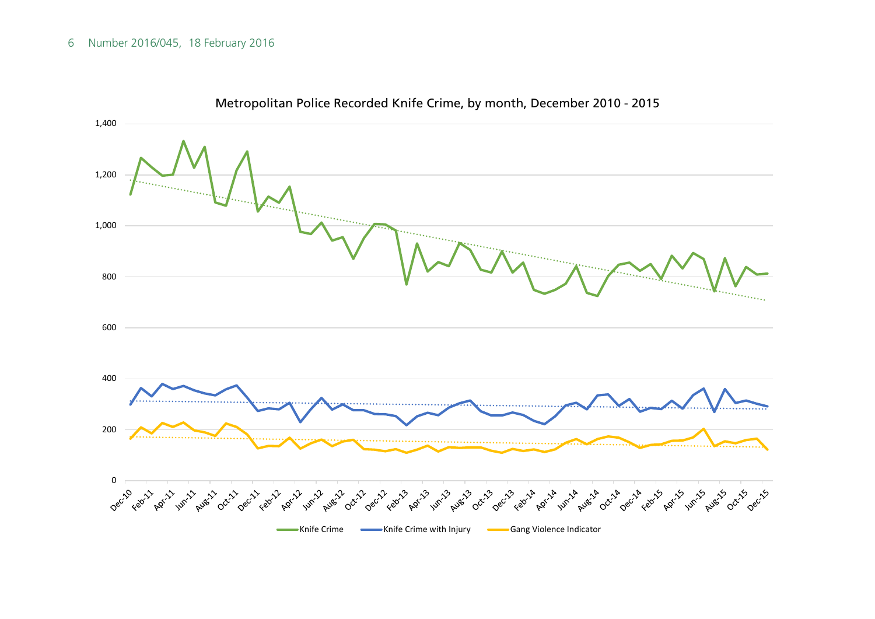#### 6 Number 2016/045, 18 February 2016



Metropolitan Police Recorded Knife Crime, by month, December 2010 - 2015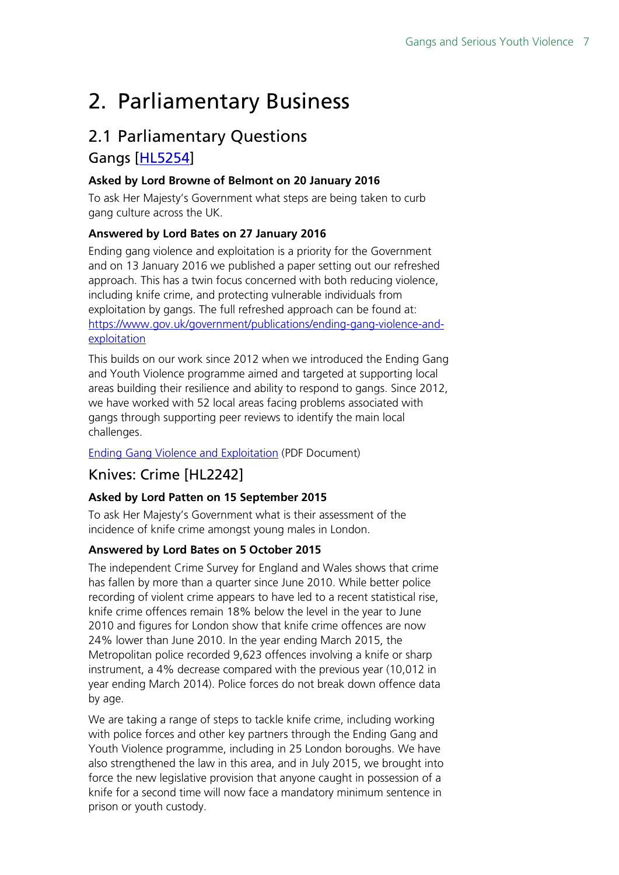## <span id="page-6-0"></span>2. Parliamentary Business

## <span id="page-6-1"></span>2.1 Parliamentary Questions Gangs [\[HL5254\]](http://www.parliament.uk/written-questions-answers-statements/written-question/lords/2016-01-20/HL5254)

### **Asked by Lord Browne of Belmont on 20 January 2016**

To ask Her Majesty's Government what steps are being taken to curb gang culture across the UK.

### **Answered by Lord Bates on 27 January 2016**

Ending gang violence and exploitation is a priority for the Government and on 13 January 2016 we published a paper setting out our refreshed approach. This has a twin focus concerned with both reducing violence, including knife crime, and protecting vulnerable individuals from exploitation by gangs. The full refreshed approach can be found at: [https://www.gov.uk/government/publications/ending-gang-violence-and](https://www.gov.uk/government/publications/ending-gang-violence-and-exploitation)[exploitation](https://www.gov.uk/government/publications/ending-gang-violence-and-exploitation)

This builds on our work since 2012 when we introduced the Ending Gang and Youth Violence programme aimed and targeted at supporting local areas building their resilience and ability to respond to gangs. Since 2012, we have worked with 52 local areas facing problems associated with gangs through supporting peer reviews to identify the main local challenges.

[Ending Gang Violence and Exploitation](http://qna.files.parliament.uk/qna-attachments/446482/original/Ending_gang_violence_and_Exploitation_FINAL.pdf) (PDF Document)

## Knives: Crime [HL2242]

#### **Asked by Lord Patten on 15 September 2015**

To ask Her Majesty's Government what is their assessment of the incidence of knife crime amongst young males in London.

#### **Answered by Lord Bates on 5 October 2015**

The independent Crime Survey for England and Wales shows that crime has fallen by more than a quarter since June 2010. While better police recording of violent crime appears to have led to a recent statistical rise, knife crime offences remain 18% below the level in the year to June 2010 and figures for London show that knife crime offences are now 24% lower than June 2010. In the year ending March 2015, the Metropolitan police recorded 9,623 offences involving a knife or sharp instrument, a 4% decrease compared with the previous year (10,012 in year ending March 2014). Police forces do not break down offence data by age.

We are taking a range of steps to tackle knife crime, including working with police forces and other key partners through the Ending Gang and Youth Violence programme, including in 25 London boroughs. We have also strengthened the law in this area, and in July 2015, we brought into force the new legislative provision that anyone caught in possession of a knife for a second time will now face a mandatory minimum sentence in prison or youth custody.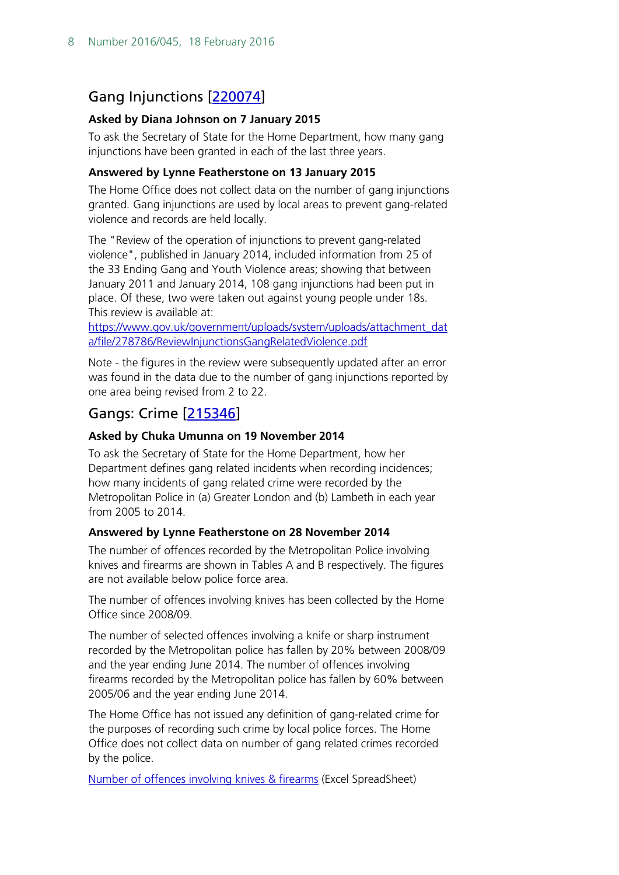## Gang Injunctions [\[220074\]](http://www.parliament.uk/written-questions-answers-statements/written-question/commons/2015-01-07/220074)

#### **Asked by Diana Johnson on 7 January 2015**

To ask the Secretary of State for the Home Department, how many gang injunctions have been granted in each of the last three years.

#### **Answered by Lynne Featherstone on 13 January 2015**

The Home Office does not collect data on the number of gang injunctions granted. Gang injunctions are used by local areas to prevent gang-related violence and records are held locally.

The "Review of the operation of injunctions to prevent gang-related violence", published in January 2014, included information from 25 of the 33 Ending Gang and Youth Violence areas; showing that between January 2011 and January 2014, 108 gang injunctions had been put in place. Of these, two were taken out against young people under 18s. This review is available at:

[https://www.gov.uk/government/uploads/system/uploads/attachment\\_dat](https://www.gov.uk/government/uploads/system/uploads/attachment_data/file/278786/ReviewInjunctionsGangRelatedViolence.pdf) [a/file/278786/ReviewInjunctionsGangRelatedViolence.pdf](https://www.gov.uk/government/uploads/system/uploads/attachment_data/file/278786/ReviewInjunctionsGangRelatedViolence.pdf)

Note - the figures in the review were subsequently updated after an error was found in the data due to the number of gang injunctions reported by one area being revised from 2 to 22.

## Gangs: Crime [\[215346\]](http://www.parliament.uk/written-questions-answers-statements/written-question/commons/2014-11-19/215346)

### **Asked by Chuka Umunna on 19 November 2014**

To ask the Secretary of State for the Home Department, how her Department defines gang related incidents when recording incidences; how many incidents of gang related crime were recorded by the Metropolitan Police in (a) Greater London and (b) Lambeth in each year from 2005 to 2014.

#### **Answered by Lynne Featherstone on 28 November 2014**

The number of offences recorded by the Metropolitan Police involving knives and firearms are shown in Tables A and B respectively. The figures are not available below police force area.

The number of offences involving knives has been collected by the Home Office since 2008/09.

The number of selected offences involving a knife or sharp instrument recorded by the Metropolitan police has fallen by 20% between 2008/09 and the year ending June 2014. The number of offences involving firearms recorded by the Metropolitan police has fallen by 60% between 2005/06 and the year ending June 2014.

The Home Office has not issued any definition of gang-related crime for the purposes of recording such crime by local police forces. The Home Office does not collect data on number of gang related crimes recorded by the police.

[Number of offences involving knives & firearms](http://qna.files.parliament.uk/qna-attachments/156684/original/PQs%20215345-%20215346%20-%20table.xls) (Excel SpreadSheet)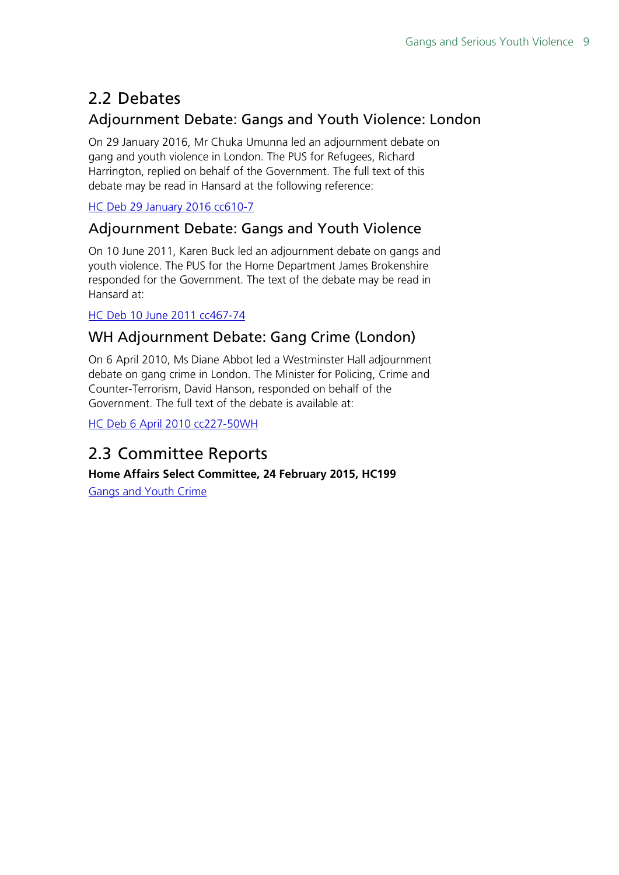## <span id="page-8-0"></span>2.2 Debates

## Adjournment Debate: Gangs and Youth Violence: London

On 29 January 2016, Mr Chuka Umunna led an adjournment debate on gang and youth violence in London. The PUS for Refugees, Richard Harrington, replied on behalf of the Government. The full text of this debate may be read in Hansard at the following reference:

[HC Deb 29 January 2016 cc610-7](http://www.publications.parliament.uk/pa/cm201516/cmhansrd/cm160129/debtext/160129-0003.htm#16012937000005)

## Adjournment Debate: Gangs and Youth Violence

On 10 June 2011, Karen Buck led an adjournment debate on gangs and youth violence. The PUS for the Home Department James Brokenshire responded for the Government. The text of the debate may be read in Hansard at:

### [HC Deb 10 June 2011 cc467-74](http://www.publications.parliament.uk/pa/cm201011/cmhansrd/cm110610/debtext/110610-0002.htm#11061046000471)

## WH Adjournment Debate: Gang Crime (London)

On 6 April 2010, Ms Diane Abbot led a Westminster Hall adjournment debate on gang crime in London. The Minister for Policing, Crime and Counter-Terrorism, David Hanson, responded on behalf of the Government. The full text of the debate is available at:

[HC Deb 6 April 2010 cc227-50WH](http://www.publications.parliament.uk/pa/cm200910/cmhansrd/cm100406/halltext/100406h0001.htm#1004063000009)

## <span id="page-8-1"></span>2.3 Committee Reports

**Home Affairs Select Committee, 24 February 2015, HC199**

[Gangs and Youth Crime](http://www.publications.parliament.uk/pa/cm201415/cmselect/cmhaff/199/19902.htm)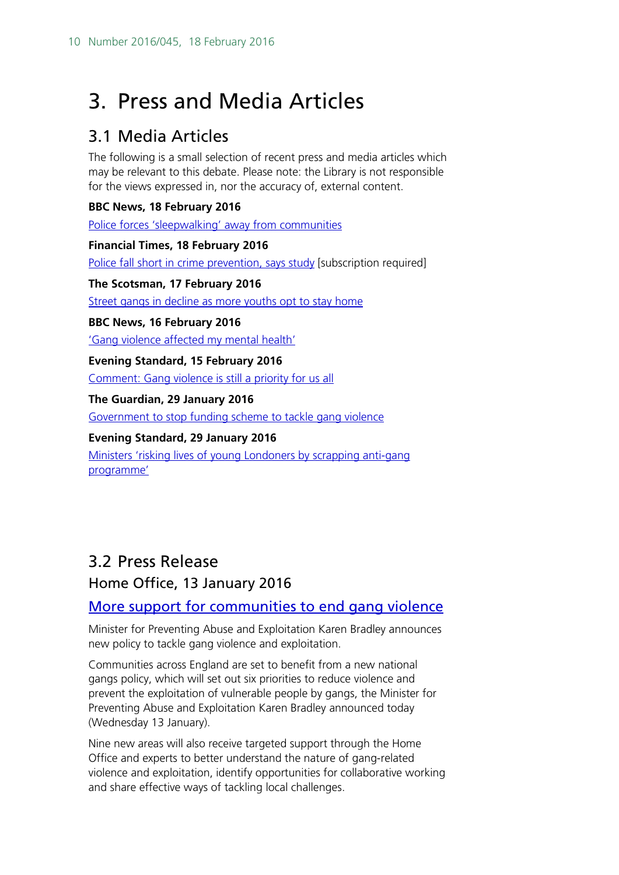## <span id="page-9-0"></span>3. Press and Media Articles

## <span id="page-9-1"></span>3.1 Media Articles

The following is a small selection of recent press and media articles which may be relevant to this debate. Please note: the Library is not responsible for the views expressed in, nor the accuracy of, external content.

### **BBC News, 18 February 2016**

[Police forces 'sleepwalking' away from communities](http://www.bbc.co.uk/news/uk-35599312)

**Financial Times, 18 February 2016** [Police fall short in crime prevention, says study](http://www.ft.com/cms/s/0/1446c592-d59f-11e5-829b-8564e7528e54.html?ftcamp=published_links%2Frss%2Fworld_uk_politics%2Ffeed%2F%2Fproduct#axzz40VzCZ7wn) [subscription required]

**The Scotsman, 17 February 2016** [Street gangs in decline as more youths opt to stay home](http://www.scotsman.com/news/street-gangs-in-decline-as-more-youths-opt-to-stay-home-1-4032856)

### **BBC News, 16 February 2016**

['Gang violence affected my mental health'](http://www.bbc.co.uk/news/health-35561113)

**Evening Standard, 15 February 2016**

[Comment: Gang violence is still a priority for us all](http://www.standard.co.uk/comment/evening-standard-comment-gang-violence-is-still-a-priority-for-us-all-a3180551.html)

#### **The Guardian, 29 January 2016**

[Government to stop funding scheme to tackle gang violence](http://www.theguardian.com/politics/2016/jan/29/government-stop-funding-tackle-gang-violence-chuka-umunna)

#### **Evening Standard, 29 January 2016**

[Ministers 'risking lives of young Londoners by scrapping anti-gang](http://www.standard.co.uk/news/crime/ministers-risking-lives-of-young-londoners-by-scrapping-antigang-programme-a3167931.html)  [programme'](http://www.standard.co.uk/news/crime/ministers-risking-lives-of-young-londoners-by-scrapping-antigang-programme-a3167931.html)

## <span id="page-9-2"></span>3.2 Press Release

## Home Office, 13 January 2016

## [More support for communities to end gang violence](https://www.gov.uk/government/news/more-support-for-communities-to-end-gang-violence)

Minister for Preventing Abuse and Exploitation Karen Bradley announces new policy to tackle gang violence and exploitation.

Communities across England are set to benefit from a new national gangs policy, which will set out six priorities to reduce violence and prevent the exploitation of vulnerable people by gangs, the Minister for Preventing Abuse and Exploitation Karen Bradley announced today (Wednesday 13 January).

Nine new areas will also receive targeted support through the Home Office and experts to better understand the nature of gang-related violence and exploitation, identify opportunities for collaborative working and share effective ways of tackling local challenges.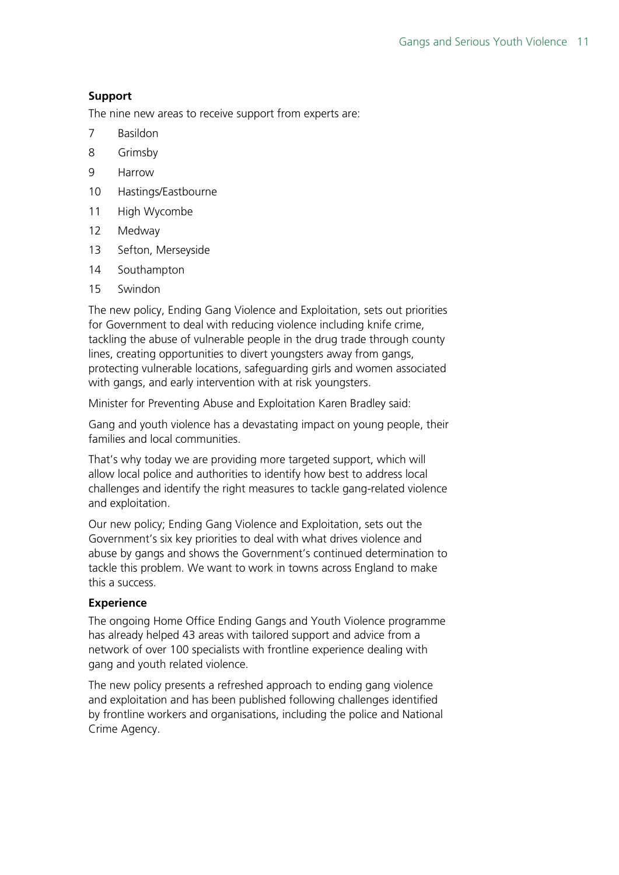#### **Support**

The nine new areas to receive support from experts are:

- 7 Basildon
- 8 Grimsby
- 9 Harrow
- 10 Hastings/Eastbourne
- 11 High Wycombe
- 12 Medway
- 13 Sefton, Merseyside
- 14 Southampton
- 15 Swindon

The new policy, Ending Gang Violence and Exploitation, sets out priorities for Government to deal with reducing violence including knife crime, tackling the abuse of vulnerable people in the drug trade through county lines, creating opportunities to divert youngsters away from gangs, protecting vulnerable locations, safeguarding girls and women associated with gangs, and early intervention with at risk youngsters.

Minister for Preventing Abuse and Exploitation Karen Bradley said:

Gang and youth violence has a devastating impact on young people, their families and local communities.

That's why today we are providing more targeted support, which will allow local police and authorities to identify how best to address local challenges and identify the right measures to tackle gang-related violence and exploitation.

Our new policy; Ending Gang Violence and Exploitation, sets out the Government's six key priorities to deal with what drives violence and abuse by gangs and shows the Government's continued determination to tackle this problem. We want to work in towns across England to make this a success.

#### **Experience**

The ongoing Home Office Ending Gangs and Youth Violence programme has already helped 43 areas with tailored support and advice from a network of over 100 specialists with frontline experience dealing with gang and youth related violence.

The new policy presents a refreshed approach to ending gang violence and exploitation and has been published following challenges identified by frontline workers and organisations, including the police and National Crime Agency.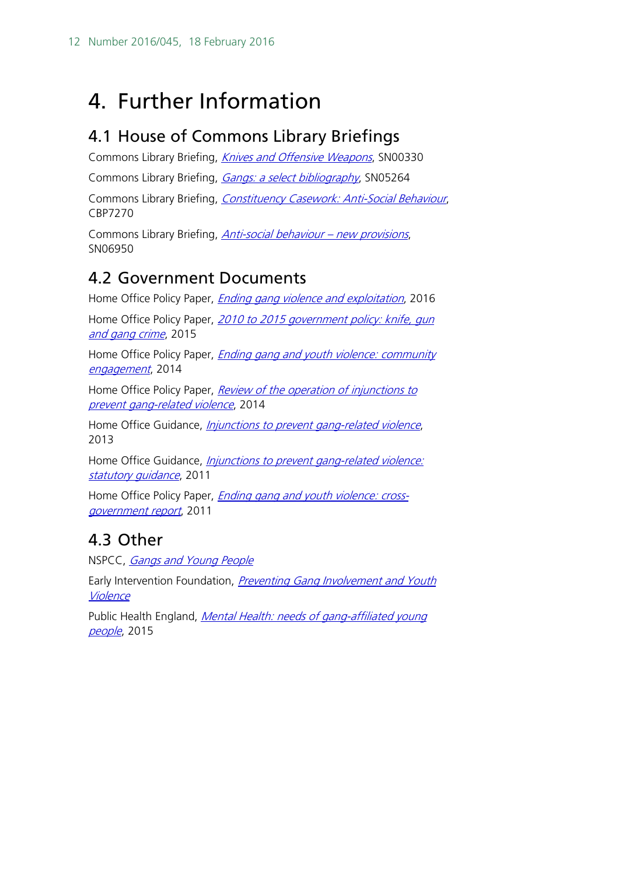## <span id="page-11-0"></span>4. Further Information

## <span id="page-11-1"></span>4.1 House of Commons Library Briefings

Commons Library Briefing, *[Knives and Offensive Weapons](http://researchbriefings.parliament.uk/ResearchBriefing/Summary/SN00330)*, SN00330

Commons Library Briefing, *[Gangs: a select bibliography](http://researchbriefings.parliament.uk/ResearchBriefing/Summary/SN05264)*, SN05264

Commons Library Briefing, [Constituency Casework: Anti-Social Behaviour](http://researchbriefings.parliament.uk/ResearchBriefing/Summary/CBP-7270), CBP7270

Commons Library Briefing, *[Anti-social behaviour –](http://researchbriefings.parliament.uk/ResearchBriefing/Summary/SN06950) new provisions*, SN06950

## <span id="page-11-2"></span>4.2 Government Documents

Home Office Policy Paper, *[Ending gang violence and exploitation](https://www.gov.uk/government/publications/ending-gang-violence-and-exploitation)*, 2016

Home Office Policy Paper, 2010 to 2015 government policy: knife, gun [and gang crime](https://www.gov.uk/government/publications/2010-to-2015-government-policy-knife-gun-and-gang-crime), 2015

Home Office Policy Paper, *Ending gang and youth violence: community* [engagement](https://www.gov.uk/government/publications/ending-gang-and-youth-violence-community-engagement), 2014

Home Office Policy Paper, *Review of the operation of injunctions to* [prevent gang-related violence](https://www.gov.uk/government/publications/review-of-the-operation-of-injunctions-to-prevent-gang-related-violence), 2014

Home Office Guidance, *[Injunctions to prevent gang-related violence](https://www.gov.uk/guidance/injunctions-to-prevent-gang-related-violence)*, 2013

Home Office Guidance, *Injunctions to prevent gang-related violence:* [statutory guidance](https://www.gov.uk/government/publications/statutory-guidance-injunctions-to-prevent-gang-related-violence--2), 2011

Home Office Policy Paper, *Ending gang and [youth violence: cross](https://www.gov.uk/government/publications/ending-gang-and-youth-violence-cross-government-report)*[government report](https://www.gov.uk/government/publications/ending-gang-and-youth-violence-cross-government-report), 2011

## <span id="page-11-3"></span>4.3 Other

NSPCC, [Gangs and Young People](https://www.nspcc.org.uk/preventing-abuse/keeping-children-safe/staying-safe-away-from-home/gangs-young-people/)

Early Intervention Foundation, Preventing Gang Involvement and Youth **[Violence](http://www.eif.org.uk/publication/preventing-gang-involvement-and-youth-violence-advice-for-commissioning-mentoring-programmes/)** 

Public Health England, Mental Health: needs of gang-affiliated young [people](https://www.gov.uk/government/publications/mental-health-needs-of-gang-affiliated-young-people), 2015